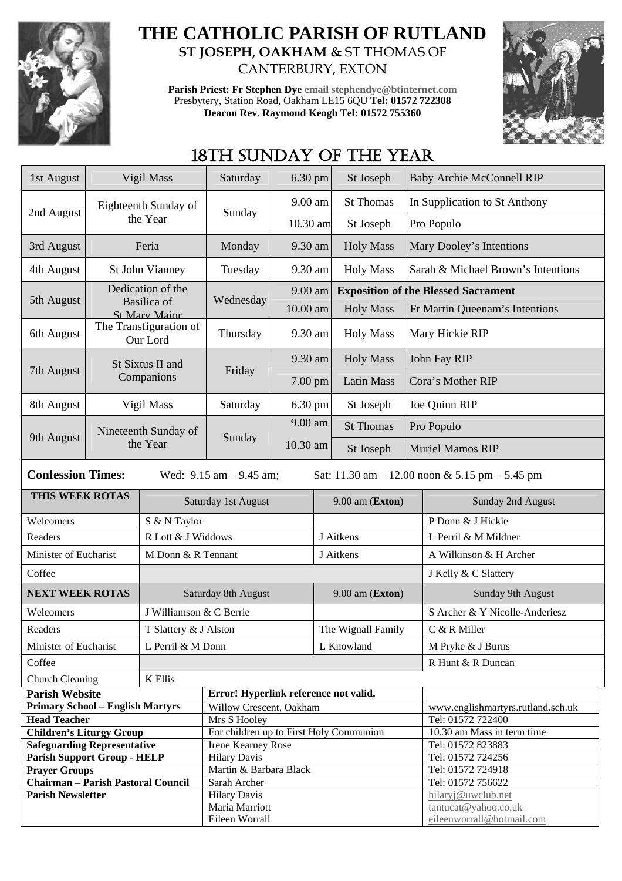

## **THE CATHOLIC PARISH OF RUTLAND ST JOSEPH, OAKHAM &** ST THOMAS OF CANTERBURY, EXTON

**Parish Priest: Fr Stephen Dye email stephendye@btinternet.com** Presbytery, Station Road, Oakham LE15 6QU **Tel: 01572 722308 Deacon Rev. Raymond Keogh Tel: 01572 755360** 



# 18TH SUNDAY OF THE YEAR

| 1st August                                                 |                                                                                                               | Vigil Mass                         | Saturday                                  | $6.30$ pm |                   | St Joseph                                  | <b>Baby Archie McConnell RIP</b> |                                        |  |
|------------------------------------------------------------|---------------------------------------------------------------------------------------------------------------|------------------------------------|-------------------------------------------|-----------|-------------------|--------------------------------------------|----------------------------------|----------------------------------------|--|
|                                                            |                                                                                                               | Eighteenth Sunday of               |                                           | 9.00 am   |                   | <b>St Thomas</b>                           |                                  | In Supplication to St Anthony          |  |
| 2nd August                                                 |                                                                                                               | the Year                           | Sunday                                    | 10.30 am  |                   | St Joseph                                  |                                  | Pro Populo                             |  |
| 3rd August                                                 |                                                                                                               | Feria                              | Monday                                    | 9.30 am   |                   | <b>Holy Mass</b>                           |                                  | Mary Dooley's Intentions               |  |
| 4th August                                                 | St John Vianney                                                                                               |                                    | Tuesday                                   | 9.30 am   |                   | <b>Holy Mass</b>                           |                                  | Sarah & Michael Brown's Intentions     |  |
|                                                            | Dedication of the                                                                                             |                                    |                                           | 9.00 am   |                   | <b>Exposition of the Blessed Sacrament</b> |                                  |                                        |  |
| 5th August                                                 |                                                                                                               | Basilica of                        | Wednesday                                 | 10.00 am  |                   | <b>Holy Mass</b>                           |                                  | Fr Martin Queenam's Intentions         |  |
|                                                            |                                                                                                               | <b>St Mary Maior</b>               |                                           |           |                   |                                            |                                  |                                        |  |
| 6th August                                                 |                                                                                                               | The Transfiguration of<br>Our Lord | Thursday                                  | 9.30 am   |                   | <b>Holy Mass</b>                           | Mary Hickie RIP                  |                                        |  |
| 7th August                                                 |                                                                                                               | St Sixtus II and                   | Friday                                    | 9.30 am   |                   | <b>Holy Mass</b>                           | John Fay RIP                     |                                        |  |
|                                                            | Companions                                                                                                    |                                    |                                           | 7.00 pm   |                   | <b>Latin Mass</b>                          | Cora's Mother RIP                |                                        |  |
| 8th August                                                 |                                                                                                               | Vigil Mass                         | Saturday                                  | 6.30 pm   |                   | St Joseph                                  |                                  | Joe Quinn RIP                          |  |
|                                                            |                                                                                                               | Nineteenth Sunday of               | Sunday                                    | 9.00 am   |                   | <b>St Thomas</b>                           | Pro Populo                       |                                        |  |
| 9th August                                                 |                                                                                                               | the Year                           |                                           | 10.30 am  |                   | St Joseph                                  |                                  | <b>Muriel Mamos RIP</b>                |  |
|                                                            | <b>Confession Times:</b><br>Wed: $9.15$ am $- 9.45$ am;<br>Sat: 11.30 am $- 12.00$ noon & 5.15 pm $- 5.45$ pm |                                    |                                           |           |                   |                                            |                                  |                                        |  |
| THIS WEEK ROTAS                                            |                                                                                                               |                                    | Saturday 1st August                       |           |                   | $9.00$ am (Exton)                          |                                  | Sunday 2nd August                      |  |
| Welcomers                                                  |                                                                                                               | S & N Taylor                       |                                           |           |                   |                                            |                                  | P Donn & J Hickie                      |  |
| Readers                                                    |                                                                                                               | R Lott & J Widdows                 |                                           |           | J Aitkens         |                                            |                                  | L Perril & M Mildner                   |  |
| Minister of Eucharist                                      |                                                                                                               | M Donn & R Tennant                 |                                           |           | J Aitkens         |                                            |                                  | A Wilkinson & H Archer                 |  |
| Coffee                                                     |                                                                                                               |                                    |                                           |           |                   |                                            |                                  | J Kelly & C Slattery                   |  |
| <b>NEXT WEEK ROTAS</b>                                     |                                                                                                               | Saturday 8th August                |                                           |           | $9.00$ am (Exton) |                                            | Sunday 9th August                |                                        |  |
| Welcomers                                                  |                                                                                                               | J Williamson & C Berrie            |                                           |           |                   |                                            |                                  | S Archer & Y Nicolle-Anderiesz         |  |
| Readers                                                    |                                                                                                               | T Slattery & J Alston              |                                           |           |                   | The Wignall Family                         |                                  | C & R Miller                           |  |
| Minister of Eucharist                                      |                                                                                                               | L Perril & M Donn                  |                                           |           |                   | L Knowland                                 |                                  | M Pryke & J Burns                      |  |
| Coffee                                                     |                                                                                                               |                                    |                                           |           |                   |                                            |                                  | R Hunt & R Duncan                      |  |
| <b>Church Cleaning</b>                                     |                                                                                                               | K Ellis                            |                                           |           |                   |                                            |                                  |                                        |  |
| <b>Parish Website</b>                                      |                                                                                                               |                                    | Error! Hyperlink reference not valid.     |           |                   |                                            |                                  |                                        |  |
| <b>Primary School - English Martyrs</b>                    |                                                                                                               |                                    | Willow Crescent, Oakham                   |           |                   |                                            |                                  | www.englishmartyrs.rutland.sch.uk      |  |
| <b>Head Teacher</b>                                        |                                                                                                               |                                    | Mrs S Hooley                              |           |                   |                                            |                                  | Tel: 01572 722400                      |  |
| <b>Children's Liturgy Group</b>                            |                                                                                                               |                                    | For children up to First Holy Communion   |           |                   |                                            |                                  | 10.30 am Mass in term time             |  |
| <b>Safeguarding Representative</b>                         |                                                                                                               |                                    | Irene Kearney Rose<br><b>Hilary Davis</b> |           |                   |                                            |                                  | Tel: 01572 823883<br>Tel: 01572 724256 |  |
| <b>Parish Support Group - HELP</b><br><b>Prayer Groups</b> |                                                                                                               |                                    | Martin & Barbara Black                    |           |                   |                                            |                                  | Tel: 01572 724918                      |  |
| <b>Chairman - Parish Pastoral Council</b>                  |                                                                                                               |                                    | Sarah Archer                              |           |                   |                                            |                                  | Tel: 01572 756622                      |  |
| <b>Parish Newsletter</b>                                   |                                                                                                               |                                    | <b>Hilary Davis</b>                       |           |                   |                                            | hilaryj@uwclub.net               |                                        |  |
|                                                            |                                                                                                               |                                    | Maria Marriott                            |           |                   |                                            |                                  | tantucat@yahoo.co.uk                   |  |
|                                                            |                                                                                                               |                                    | Eileen Worrall                            |           |                   |                                            |                                  | eileenworrall@hotmail.com              |  |